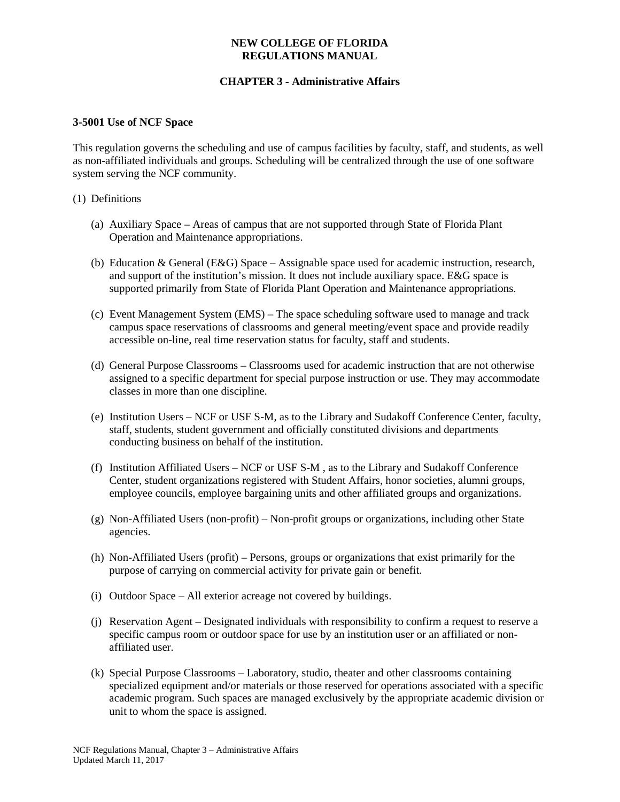# **CHAPTER 3 - Administrative Affairs**

#### **3-5001 Use of NCF Space**

This regulation governs the scheduling and use of campus facilities by faculty, staff, and students, as well as non-affiliated individuals and groups. Scheduling will be centralized through the use of one software system serving the NCF community.

### (1) Definitions

- (a) Auxiliary Space Areas of campus that are not supported through State of Florida Plant Operation and Maintenance appropriations.
- (b) Education & General (E&G) Space Assignable space used for academic instruction, research, and support of the institution's mission. It does not include auxiliary space. E&G space is supported primarily from State of Florida Plant Operation and Maintenance appropriations.
- (c) Event Management System (EMS) The space scheduling software used to manage and track campus space reservations of classrooms and general meeting/event space and provide readily accessible on-line, real time reservation status for faculty, staff and students.
- (d) General Purpose Classrooms Classrooms used for academic instruction that are not otherwise assigned to a specific department for special purpose instruction or use. They may accommodate classes in more than one discipline.
- (e) Institution Users NCF or USF S-M, as to the Library and Sudakoff Conference Center, faculty, staff, students, student government and officially constituted divisions and departments conducting business on behalf of the institution.
- (f) Institution Affiliated Users NCF or USF S-M , as to the Library and Sudakoff Conference Center, student organizations registered with Student Affairs, honor societies, alumni groups, employee councils, employee bargaining units and other affiliated groups and organizations.
- (g) Non-Affiliated Users (non-profit) Non-profit groups or organizations, including other State agencies.
- (h) Non-Affiliated Users (profit) Persons, groups or organizations that exist primarily for the purpose of carrying on commercial activity for private gain or benefit.
- (i) Outdoor Space All exterior acreage not covered by buildings.
- (j) Reservation Agent Designated individuals with responsibility to confirm a request to reserve a specific campus room or outdoor space for use by an institution user or an affiliated or nonaffiliated user.
- (k) Special Purpose Classrooms Laboratory, studio, theater and other classrooms containing specialized equipment and/or materials or those reserved for operations associated with a specific academic program. Such spaces are managed exclusively by the appropriate academic division or unit to whom the space is assigned.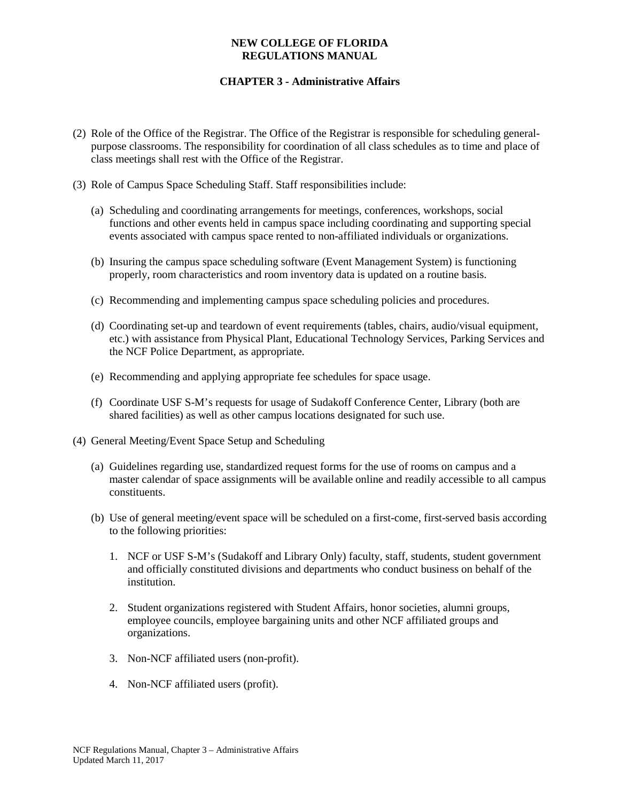# **CHAPTER 3 - Administrative Affairs**

- (2) Role of the Office of the Registrar. The Office of the Registrar is responsible for scheduling generalpurpose classrooms. The responsibility for coordination of all class schedules as to time and place of class meetings shall rest with the Office of the Registrar.
- (3) Role of Campus Space Scheduling Staff. Staff responsibilities include:
	- (a) Scheduling and coordinating arrangements for meetings, conferences, workshops, social functions and other events held in campus space including coordinating and supporting special events associated with campus space rented to non-affiliated individuals or organizations.
	- (b) Insuring the campus space scheduling software (Event Management System) is functioning properly, room characteristics and room inventory data is updated on a routine basis.
	- (c) Recommending and implementing campus space scheduling policies and procedures.
	- (d) Coordinating set-up and teardown of event requirements (tables, chairs, audio/visual equipment, etc.) with assistance from Physical Plant, Educational Technology Services, Parking Services and the NCF Police Department, as appropriate.
	- (e) Recommending and applying appropriate fee schedules for space usage.
	- (f) Coordinate USF S-M's requests for usage of Sudakoff Conference Center, Library (both are shared facilities) as well as other campus locations designated for such use.
- (4) General Meeting/Event Space Setup and Scheduling
	- (a) Guidelines regarding use, standardized request forms for the use of rooms on campus and a master calendar of space assignments will be available online and readily accessible to all campus constituents.
	- (b) Use of general meeting/event space will be scheduled on a first-come, first-served basis according to the following priorities:
		- 1. NCF or USF S-M's (Sudakoff and Library Only) faculty, staff, students, student government and officially constituted divisions and departments who conduct business on behalf of the institution.
		- 2. Student organizations registered with Student Affairs, honor societies, alumni groups, employee councils, employee bargaining units and other NCF affiliated groups and organizations.
		- 3. Non-NCF affiliated users (non-profit).
		- 4. Non-NCF affiliated users (profit).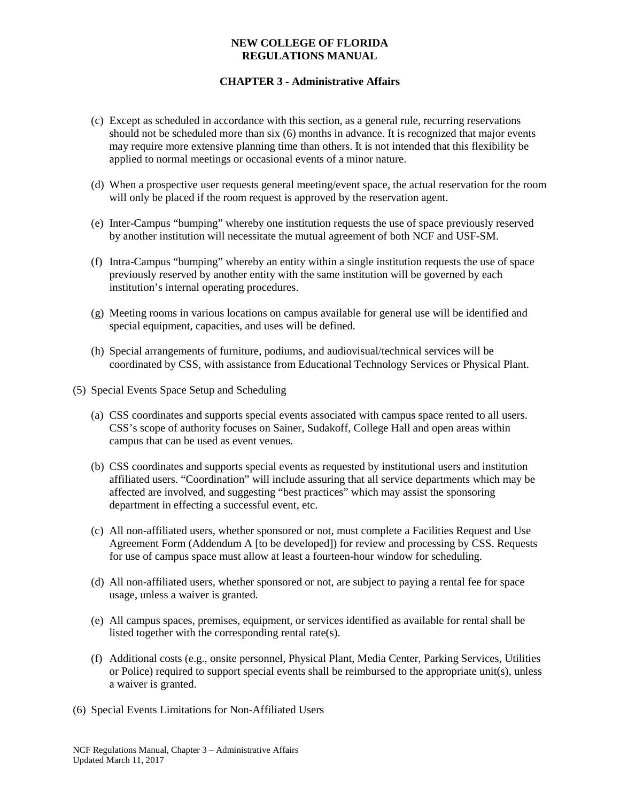## **CHAPTER 3 - Administrative Affairs**

- (c) Except as scheduled in accordance with this section, as a general rule, recurring reservations should not be scheduled more than six (6) months in advance. It is recognized that major events may require more extensive planning time than others. It is not intended that this flexibility be applied to normal meetings or occasional events of a minor nature.
- (d) When a prospective user requests general meeting/event space, the actual reservation for the room will only be placed if the room request is approved by the reservation agent.
- (e) Inter-Campus "bumping" whereby one institution requests the use of space previously reserved by another institution will necessitate the mutual agreement of both NCF and USF-SM.
- (f) Intra-Campus "bumping" whereby an entity within a single institution requests the use of space previously reserved by another entity with the same institution will be governed by each institution's internal operating procedures.
- (g) Meeting rooms in various locations on campus available for general use will be identified and special equipment, capacities, and uses will be defined.
- (h) Special arrangements of furniture, podiums, and audiovisual/technical services will be coordinated by CSS, with assistance from Educational Technology Services or Physical Plant.
- (5) Special Events Space Setup and Scheduling
	- (a) CSS coordinates and supports special events associated with campus space rented to all users. CSS's scope of authority focuses on Sainer, Sudakoff, College Hall and open areas within campus that can be used as event venues.
	- (b) CSS coordinates and supports special events as requested by institutional users and institution affiliated users. "Coordination" will include assuring that all service departments which may be affected are involved, and suggesting "best practices" which may assist the sponsoring department in effecting a successful event, etc.
	- (c) All non-affiliated users, whether sponsored or not, must complete a Facilities Request and Use Agreement Form (Addendum A [to be developed]) for review and processing by CSS. Requests for use of campus space must allow at least a fourteen-hour window for scheduling.
	- (d) All non-affiliated users, whether sponsored or not, are subject to paying a rental fee for space usage, unless a waiver is granted.
	- (e) All campus spaces, premises, equipment, or services identified as available for rental shall be listed together with the corresponding rental rate(s).
	- (f) Additional costs (e.g., onsite personnel, Physical Plant, Media Center, Parking Services, Utilities or Police) required to support special events shall be reimbursed to the appropriate unit(s), unless a waiver is granted.
- (6) Special Events Limitations for Non-Affiliated Users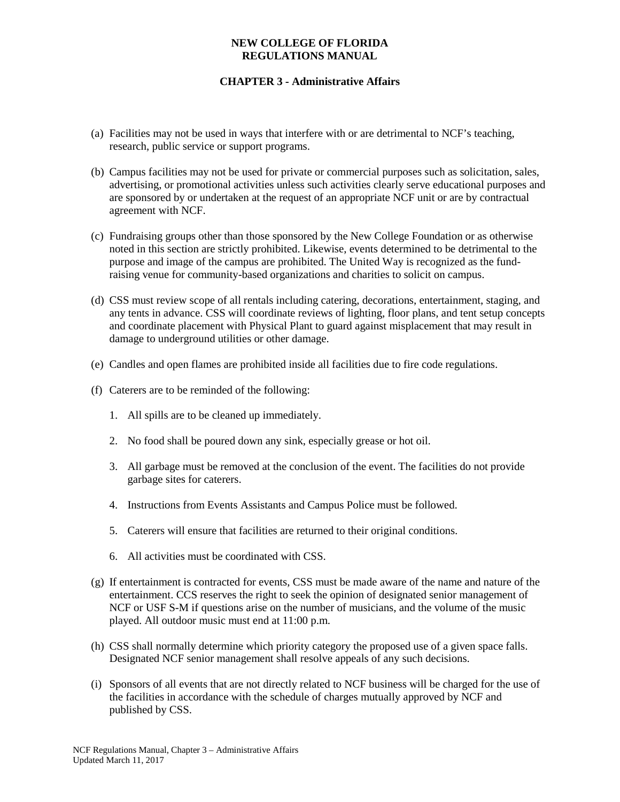## **CHAPTER 3 - Administrative Affairs**

- (a) Facilities may not be used in ways that interfere with or are detrimental to NCF's teaching, research, public service or support programs.
- (b) Campus facilities may not be used for private or commercial purposes such as solicitation, sales, advertising, or promotional activities unless such activities clearly serve educational purposes and are sponsored by or undertaken at the request of an appropriate NCF unit or are by contractual agreement with NCF.
- (c) Fundraising groups other than those sponsored by the New College Foundation or as otherwise noted in this section are strictly prohibited. Likewise, events determined to be detrimental to the purpose and image of the campus are prohibited. The United Way is recognized as the fundraising venue for community-based organizations and charities to solicit on campus.
- (d) CSS must review scope of all rentals including catering, decorations, entertainment, staging, and any tents in advance. CSS will coordinate reviews of lighting, floor plans, and tent setup concepts and coordinate placement with Physical Plant to guard against misplacement that may result in damage to underground utilities or other damage.
- (e) Candles and open flames are prohibited inside all facilities due to fire code regulations.
- (f) Caterers are to be reminded of the following:
	- 1. All spills are to be cleaned up immediately.
	- 2. No food shall be poured down any sink, especially grease or hot oil.
	- 3. All garbage must be removed at the conclusion of the event. The facilities do not provide garbage sites for caterers.
	- 4. Instructions from Events Assistants and Campus Police must be followed.
	- 5. Caterers will ensure that facilities are returned to their original conditions.
	- 6. All activities must be coordinated with CSS.
- (g) If entertainment is contracted for events, CSS must be made aware of the name and nature of the entertainment. CCS reserves the right to seek the opinion of designated senior management of NCF or USF S-M if questions arise on the number of musicians, and the volume of the music played. All outdoor music must end at 11:00 p.m.
- (h) CSS shall normally determine which priority category the proposed use of a given space falls. Designated NCF senior management shall resolve appeals of any such decisions.
- (i) Sponsors of all events that are not directly related to NCF business will be charged for the use of the facilities in accordance with the schedule of charges mutually approved by NCF and published by CSS.